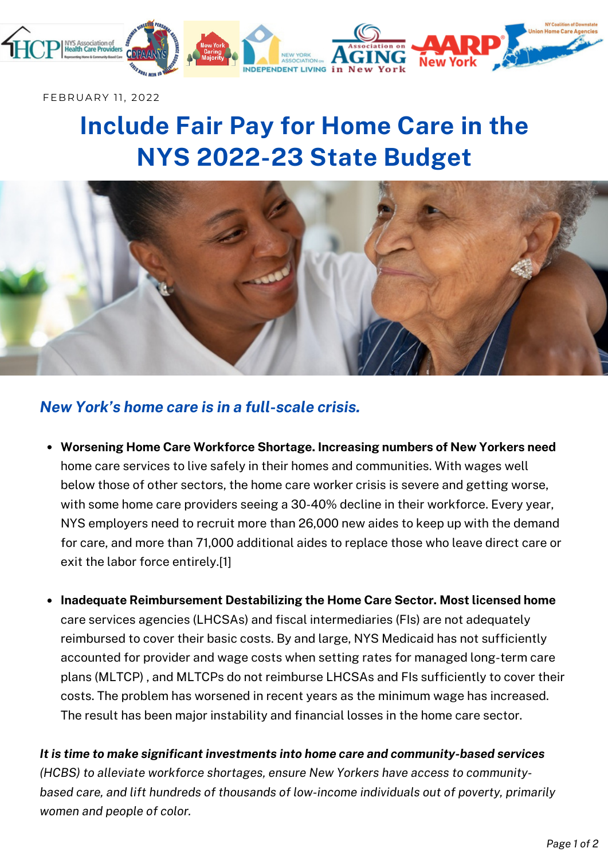

FEBRUARY 11, 2022

# **Include Fair Pay for Home Care in the NYS 2022-23 State Budget**



## *New York's home care is in a full-scale crisis.*

- **Worsening Home Care Workforce Shortage. Increasing numbers of New Yorkers need** home care services to live safely in their homes and communities. With wages well below those of other sectors, the home care worker crisis is severe and getting worse, with some home care providers seeing a 30-40% decline in their workforce. Every year, NYS employers need to recruit more than 26,000 new aides to keep up with the demand for care, and more than 71,000 additional aides to replace those who leave direct care or exit the labor force entirely.[1]
- **Inadequate Reimbursement Destabilizing the Home Care Sector. Most licensed home** care services agencies (LHCSAs) and fiscal intermediaries (FIs) are not adequately reimbursed to cover their basic costs. By and large, NYS Medicaid has not sufficiently accounted for provider and wage costs when setting rates for managed long-term care plans (MLTCP) , and MLTCPs do not reimburse LHCSAs and FIs sufficiently to cover their costs. The problem has worsened in recent years as the minimum wage has increased. The result has been major instability and financial losses in the home care sector.

*It is time to make significant investments into home care and community-based services (HCBS) to alleviate workforce shortages, ensure New Yorkers have access to communitybased care, and lift hundreds of thousands of low-income individuals out of poverty, primarily women and people of color.*